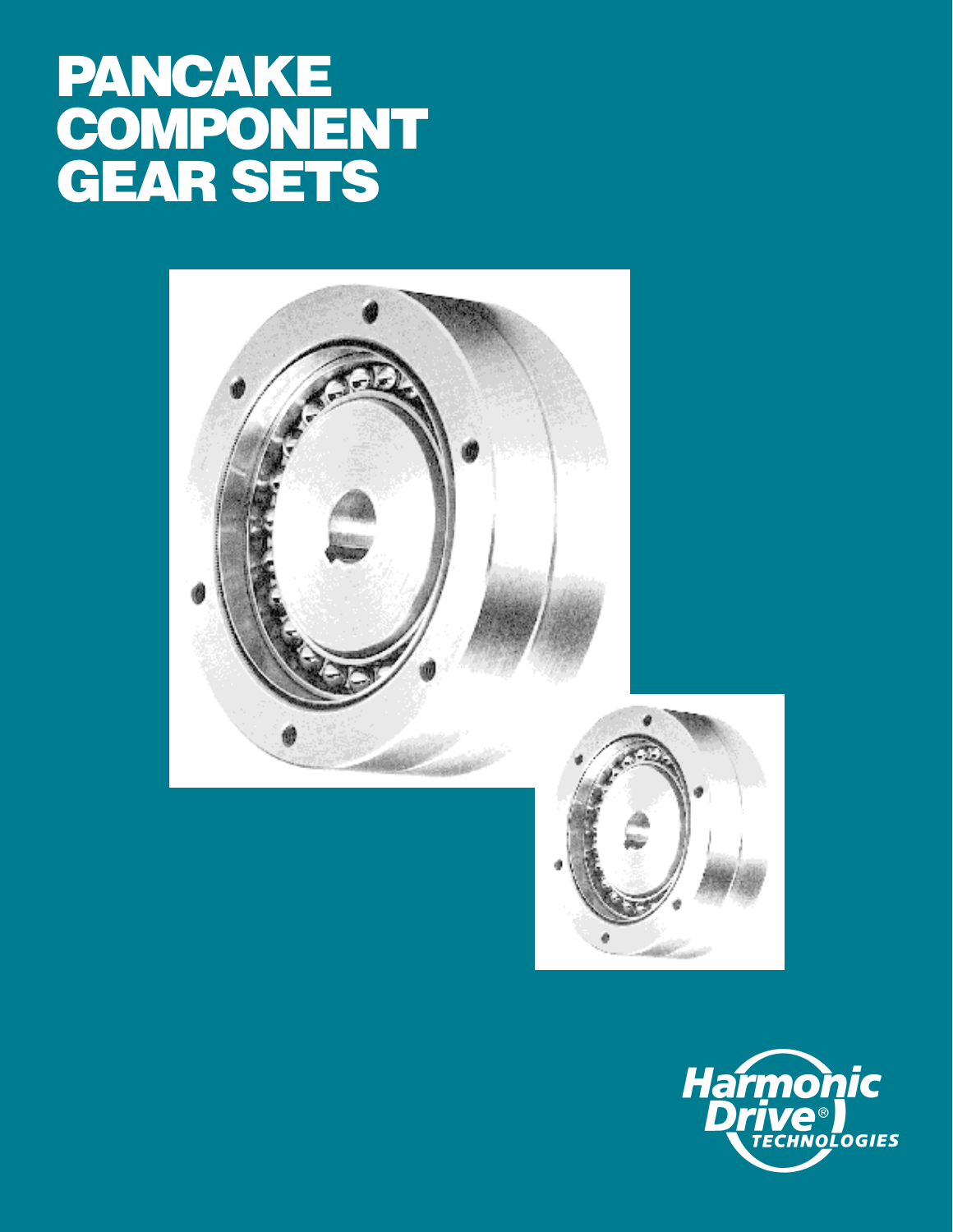# **PANCAKE COMPONENT GEAR SETS**





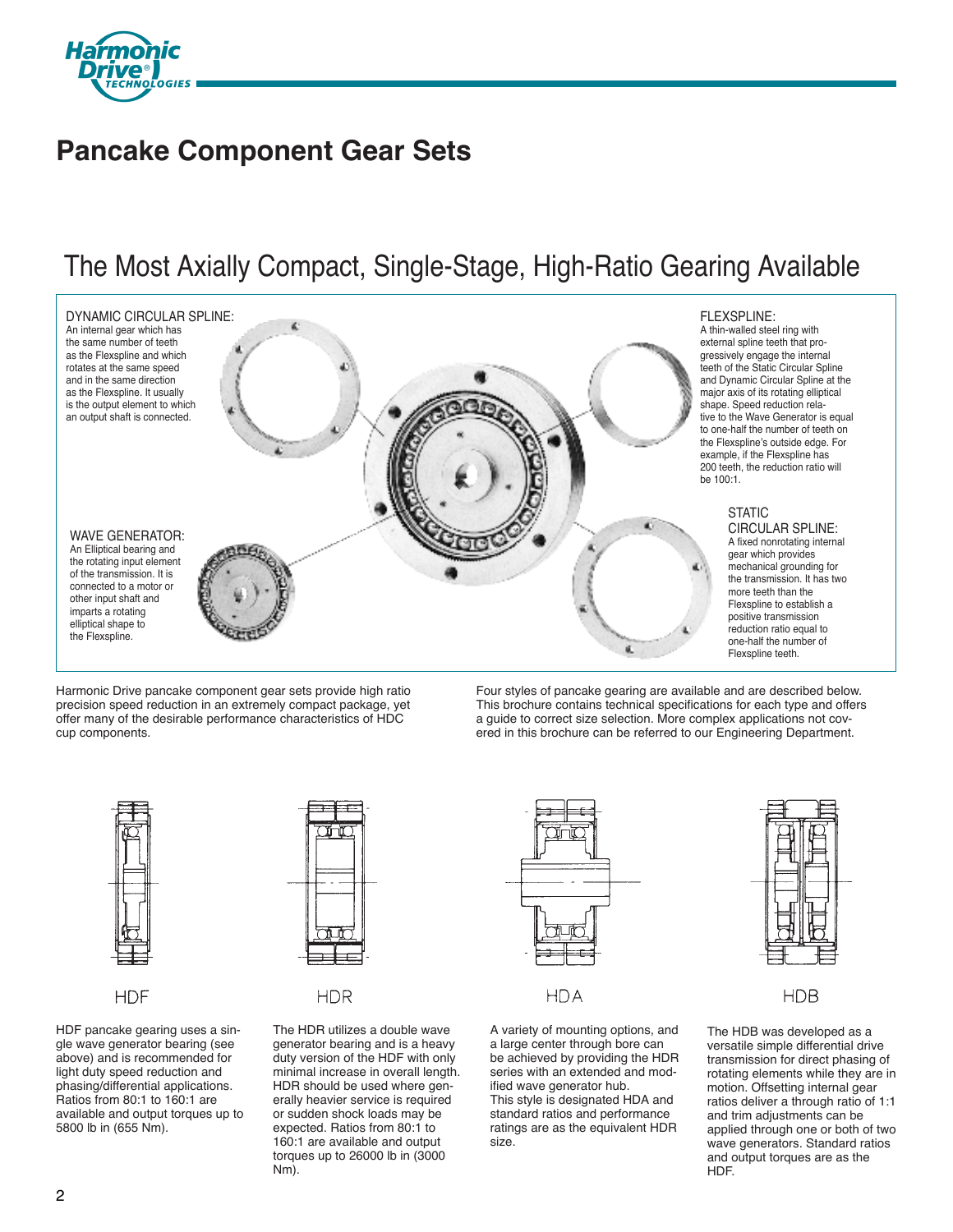

# **Pancake Component Gear Sets**

# The Most Axially Compact, Single-Stage, High-Ratio Gearing Available



Harmonic Drive pancake component gear sets provide high ratio precision speed reduction in an extremely compact package, yet offer many of the desirable performance characteristics of HDC cup components.

Four styles of pancake gearing are available and are described below. This brochure contains technical specifications for each type and offers a guide to correct size selection. More complex applications not covered in this brochure can be referred to our Engineering Department.



**HDF** 

HDF pancake gearing uses a single wave generator bearing (see above) and is recommended for light duty speed reduction and phasing/differential applications. Ratios from 80:1 to 160:1 are available and output torques up to 5800 lb in (655 Nm).



**HDR** 

The HDR utilizes a double wave generator bearing and is a heavy duty version of the HDF with only minimal increase in overall length. HDR should be used where generally heavier service is required or sudden shock loads may be expected. Ratios from 80:1 to 160:1 are available and output torques up to 26000 lb in (3000 Nm).



**HDA** 

A variety of mounting options, and a large center through bore can be achieved by providing the HDR series with an extended and modified wave generator hub. This style is designated HDA and standard ratios and performance ratings are as the equivalent HDR size.



**HDB** 

The HDB was developed as a versatile simple differential drive transmission for direct phasing of rotating elements while they are in motion. Offsetting internal gear ratios deliver a through ratio of 1:1 and trim adjustments can be applied through one or both of two wave generators. Standard ratios and output torques are as the **HDF**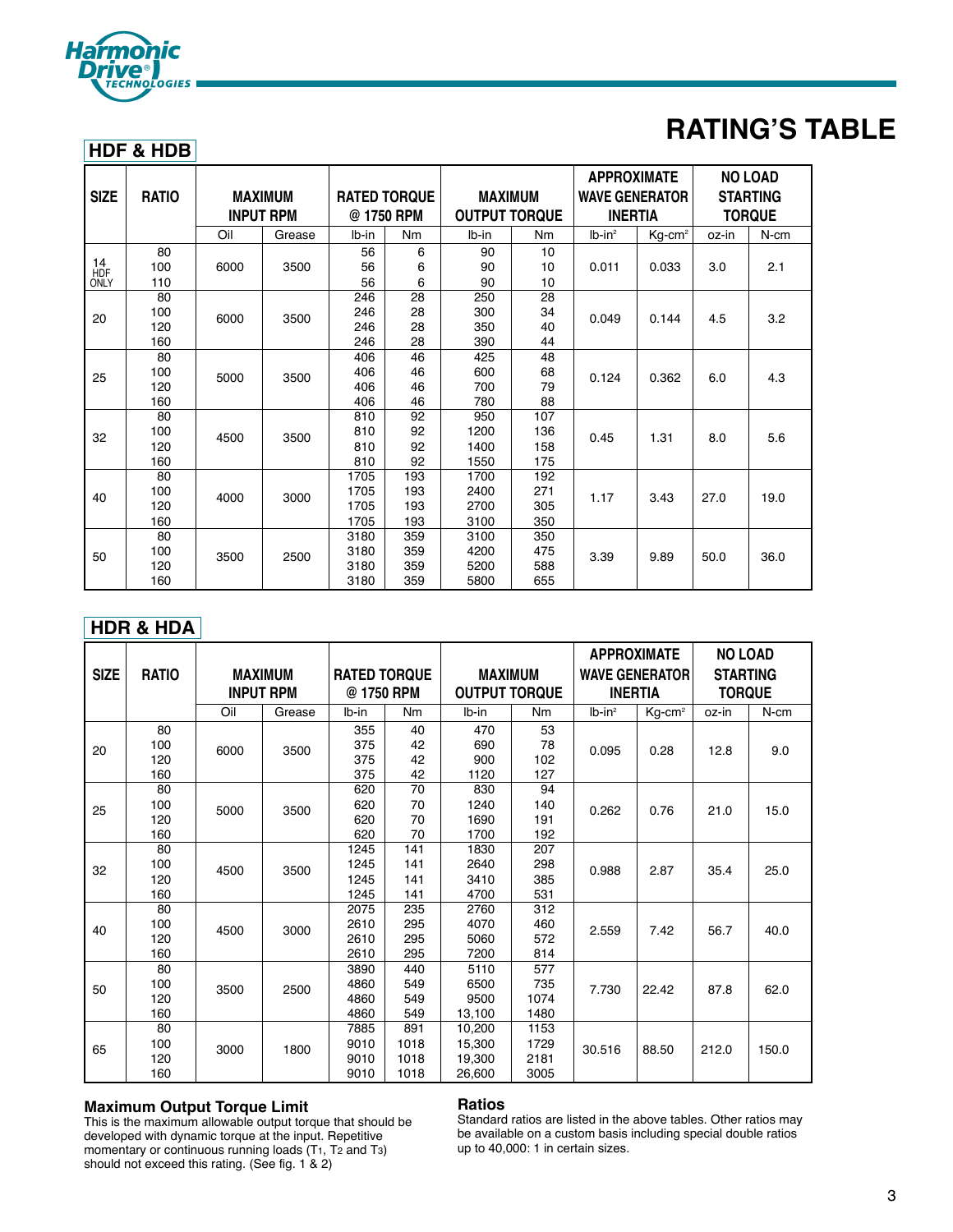

# **RATING'S TABLE**

# **HDF & HDB**

| <b>SIZE</b> | <b>RATIO</b> |      | <b>MAXIMUM</b><br><b>INPUT RPM</b> |       | <b>RATED TORQUE</b><br>@ 1750 RPM | <b>MAXIMUM</b><br><b>OUTPUT TORQUE</b> |     | <b>APPROXIMATE</b><br><b>WAVE GENERATOR</b><br><b>INERTIA</b> |                       | <b>NO LOAD</b><br><b>STARTING</b><br><b>TORQUE</b> |         |
|-------------|--------------|------|------------------------------------|-------|-----------------------------------|----------------------------------------|-----|---------------------------------------------------------------|-----------------------|----------------------------------------------------|---------|
|             |              | Oil  | Grease                             | lb-in | Nm                                | Ib-in                                  | Nm  | $Ib-in2$                                                      | $Kg$ -cm <sup>2</sup> | oz-in                                              | $N$ -cm |
|             | 80           |      |                                    | 56    | 6                                 | 90                                     | 10  |                                                               |                       |                                                    |         |
| 14          | 100          | 6000 | 3500                               | 56    | 6                                 | 90                                     | 10  | 0.011                                                         | 0.033                 | 3.0                                                | 2.1     |
| HDF<br>ONLY | 110          |      |                                    | 56    | 6                                 | 90                                     | 10  |                                                               |                       |                                                    |         |
|             | 80           |      |                                    | 246   | 28                                | 250                                    | 28  |                                                               |                       |                                                    |         |
| 20          | 100          | 6000 | 3500                               | 246   | 28                                | 300                                    | 34  | 0.049                                                         | 0.144                 | 4.5                                                | 3.2     |
|             | 120          |      |                                    | 246   | 28                                | 350                                    | 40  |                                                               |                       |                                                    |         |
|             | 160          |      |                                    | 246   | 28                                | 390                                    | 44  |                                                               |                       |                                                    |         |
| 25          | 80           |      |                                    | 406   | 46                                | 425                                    | 48  |                                                               |                       |                                                    |         |
|             | 100          | 5000 | 3500                               | 406   | 46                                | 600                                    | 68  | 0.124                                                         | 0.362                 | 6.0                                                | 4.3     |
|             | 120          |      |                                    | 406   | 46                                | 700                                    | 79  |                                                               |                       |                                                    |         |
|             | 160          |      |                                    | 406   | 46                                | 780                                    | 88  |                                                               |                       |                                                    |         |
|             | 80           |      |                                    | 810   | 92                                | 950                                    | 107 |                                                               |                       |                                                    |         |
| 32          | 100          | 4500 | 3500                               | 810   | 92                                | 1200                                   | 136 | 0.45                                                          | 1.31                  | 8.0                                                | 5.6     |
|             | 120          |      |                                    | 810   | 92                                | 1400                                   | 158 |                                                               |                       |                                                    |         |
|             | 160          |      |                                    | 810   | 92                                | 1550                                   | 175 |                                                               |                       |                                                    |         |
|             | 80           |      |                                    | 1705  | 193                               | 1700                                   | 192 |                                                               |                       |                                                    |         |
| 40          | 100          | 4000 | 3000                               | 1705  | 193                               | 2400                                   | 271 | 1.17                                                          | 3.43                  | 27.0                                               | 19.0    |
|             | 120          |      |                                    | 1705  | 193                               | 2700                                   | 305 |                                                               |                       |                                                    |         |
|             | 160          |      |                                    | 1705  | 193                               | 3100                                   | 350 |                                                               |                       |                                                    |         |
|             | 80           |      |                                    | 3180  | 359                               | 3100                                   | 350 |                                                               |                       |                                                    |         |
| 50          | 100          | 3500 | 2500                               | 3180  | 359                               | 4200                                   | 475 | 3.39                                                          | 9.89                  | 50.0                                               | 36.0    |
|             | 120          |      |                                    | 3180  | 359                               | 5200                                   | 588 |                                                               |                       |                                                    |         |
|             | 160          |      |                                    | 3180  | 359                               | 5800                                   | 655 |                                                               |                       |                                                    |         |

# **HDR & HDA**

| <b>SIZE</b><br><b>RATIO</b> |     |      |                  |                     |      |                      |                | <b>APPROXIMATE</b> |                       | <b>NO LOAD</b>  |         |
|-----------------------------|-----|------|------------------|---------------------|------|----------------------|----------------|--------------------|-----------------------|-----------------|---------|
|                             |     |      | <b>MAXIMUM</b>   | <b>RATED TORQUE</b> |      | <b>MAXIMUM</b>       |                |                    | <b>WAVE GENERATOR</b> | <b>STARTING</b> |         |
|                             |     |      | <b>INPUT RPM</b> | @ 1750 RPM          |      | <b>OUTPUT TORQUE</b> |                |                    | <b>INERTIA</b>        | <b>TORQUE</b>   |         |
|                             |     | Oil  | Grease           | lb-in               | Nm   | lb-in                | N <sub>m</sub> | $Ib-in2$           | $Kg$ -cm <sup>2</sup> | oz-in           | $N$ -cm |
|                             | 80  |      |                  | 355                 | 40   | 470                  | 53             |                    |                       |                 |         |
| 20                          | 100 | 6000 | 3500             | 375                 | 42   | 690                  | 78             | 0.095              | 0.28                  | 12.8            | 9.0     |
|                             | 120 |      |                  | 375                 | 42   | 900                  | 102            |                    |                       |                 |         |
|                             | 160 |      |                  | 375                 | 42   | 1120                 | 127            |                    |                       |                 |         |
|                             | 80  |      |                  | 620                 | 70   | 830                  | 94             |                    |                       |                 |         |
| 25                          | 100 | 5000 | 3500             | 620                 | 70   | 1240                 | 140            | 0.262              | 0.76                  | 21.0            | 15.0    |
|                             | 120 |      |                  | 620                 | 70   | 1690                 | 191            |                    |                       |                 |         |
|                             | 160 |      |                  | 620                 | 70   | 1700                 | 192            |                    |                       |                 |         |
|                             | 80  |      |                  | 1245                | 141  | 1830                 | 207            |                    |                       |                 |         |
| 32                          | 100 | 4500 | 3500             | 1245                | 141  | 2640                 | 298            | 0.988              | 2.87                  | 35.4            | 25.0    |
|                             | 120 |      |                  | 1245                | 141  | 3410                 | 385            |                    |                       |                 |         |
|                             | 160 |      |                  | 1245                | 141  | 4700                 | 531            |                    |                       |                 |         |
|                             | 80  |      |                  | 2075                | 235  | 2760                 | 312            |                    |                       |                 |         |
| 40                          | 100 | 4500 | 3000             | 2610                | 295  | 4070                 | 460            | 2.559              | 7.42                  | 56.7            | 40.0    |
|                             | 120 |      |                  | 2610                | 295  | 5060                 | 572            |                    |                       |                 |         |
|                             | 160 |      |                  | 2610                | 295  | 7200                 | 814            |                    |                       |                 |         |
|                             | 80  |      |                  | 3890                | 440  | 5110                 | 577            |                    |                       |                 |         |
| 50                          | 100 | 3500 | 2500             | 4860                | 549  | 6500                 | 735            | 7.730              | 22.42                 | 87.8            | 62.0    |
|                             | 120 |      |                  | 4860                | 549  | 9500                 | 1074           |                    |                       |                 |         |
|                             | 160 |      |                  | 4860                | 549  | 13,100               | 1480           |                    |                       |                 |         |
|                             | 80  |      |                  | 7885                | 891  | 10,200               | 1153           |                    |                       |                 |         |
| 65                          | 100 | 3000 | 1800             | 9010                | 1018 | 15.300               | 1729           | 30.516             | 88.50                 | 212.0           | 150.0   |
|                             | 120 |      |                  | 9010                | 1018 | 19,300               | 2181           |                    |                       |                 |         |
|                             | 160 |      |                  | 9010                | 1018 | 26,600               | 3005           |                    |                       |                 |         |

# **Maximum Output Torque Limit**

This is the maximum allowable output torque that should be developed with dynamic torque at the input. Repetitive momentary or continuous running loads (T1, T2 and T3) should not exceed this rating. (See fig. 1 & 2)

# **Ratios**

Standard ratios are listed in the above tables. Other ratios may be available on a custom basis including special double ratios up to 40,000: 1 in certain sizes.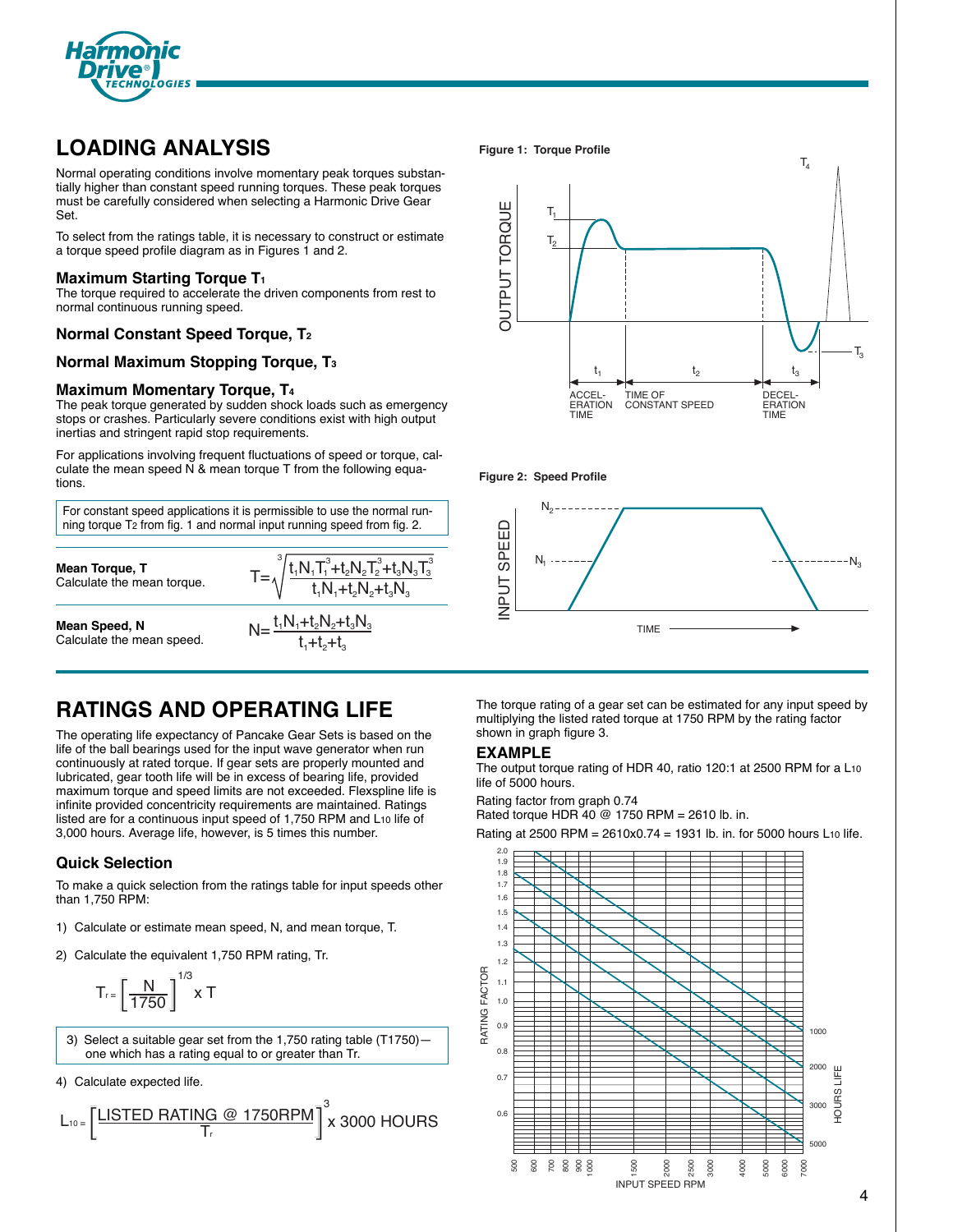

# **LOADING ANALYSIS**

Normal operating conditions involve momentary peak torques substantially higher than constant speed running torques. These peak torques must be carefully considered when selecting a Harmonic Drive Gear Set.

To select from the ratings table, it is necessary to construct or estimate a torque speed profile diagram as in Figures 1 and 2.

### **Maximum Starting Torque T1**

The torque required to accelerate the driven components from rest to normal continuous running speed.

## **Normal Constant Speed Torque, T2**

### **Normal Maximum Stopping Torque, T3**

### **Maximum Momentary Torque, T4**

The peak torque generated by sudden shock loads such as emergency stops or crashes. Particularly severe conditions exist with high output inertias and stringent rapid stop requirements.

For applications involving frequent fluctuations of speed or torque, calculate the mean speed N & mean torque T from the following equations.

For constant speed applications it is permissible to use the normal running torque T2 from fig. 1 and normal input running speed from fig. 2.

**Mean Torque, T** Calculate the mean torque.

**Mean Speed, N** Calculate the mean speed.



### **Figure 1: Torque Profile**







# **RATINGS AND OPERATING LIFE**

The operating life expectancy of Pancake Gear Sets is based on the life of the ball bearings used for the input wave generator when run continuously at rated torque. If gear sets are properly mounted and lubricated, gear tooth life will be in excess of bearing life, provided maximum torque and speed limits are not exceeded. Flexspline life is infinite provided concentricity requirements are maintained. Ratings listed are for a continuous input speed of 1,750 RPM and L10 life of 3,000 hours. Average life, however, is 5 times this number.

## **Quick Selection**

To make a quick selection from the ratings table for input speeds other than 1,750 RPM:

- 1) Calculate or estimate mean speed, N, and mean torque, T.
- 2) Calculate the equivalent 1,750 RPM rating, Tr.

$$
T_{r} = \left[\frac{N}{1750}\right]^{1/3} \times T
$$

- 3) Select a suitable gear set from the 1,750 rating table (T1750) one which has a rating equal to or greater than Tr.
- 4) Calculate expected life.



The torque rating of a gear set can be estimated for any input speed by multiplying the listed rated torque at 1750 RPM by the rating factor shown in graph figure 3.

### **EXAMPLE**

The output torque rating of HDR 40, ratio 120:1 at 2500 RPM for a L10 life of 5000 hours.

Rating factor from graph 0.74 Rated torque HDR  $40 \text{ } @ 1750 \text{ RPM} = 2610 \text{ lb. in.}$ 

Rating at 2500 RPM = 2610x0.74 = 1931 lb. in. for 5000 hours L10 life.

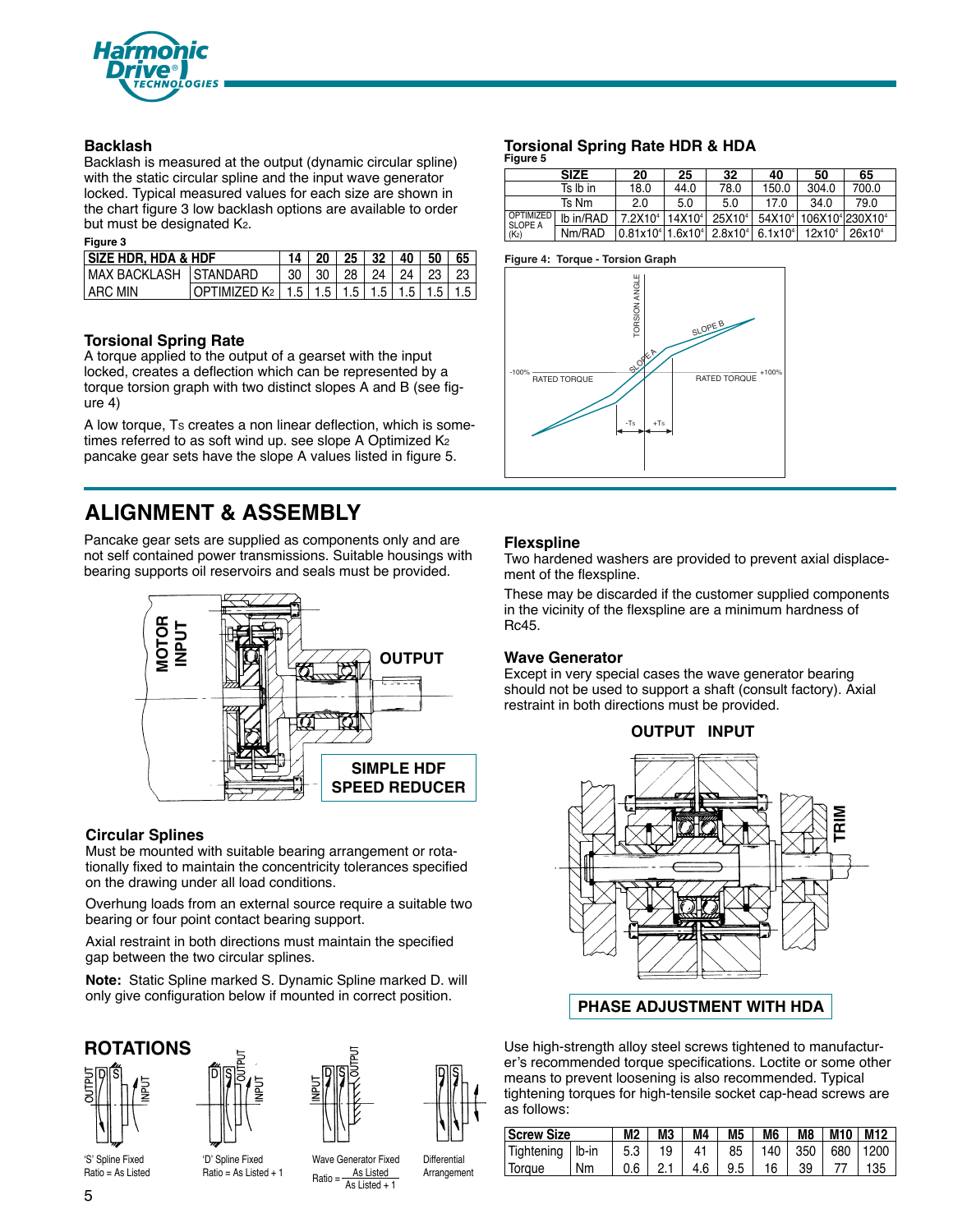

# **Backlash**

Backlash is measured at the output (dynamic circular spline) with the static circular spline and the input wave generator locked. Typical measured values for each size are shown in the chart figure 3 low backlash options are available to order but must be designated K2.

### **Figure 3**

| <b>SIZE HDR. HDA &amp; HDF</b> |                                                                    |  |  | $14$   20   25   32   40   50   65 |  |  |
|--------------------------------|--------------------------------------------------------------------|--|--|------------------------------------|--|--|
| IMAX BACKLASH ISTANDARD        |                                                                    |  |  | 30   30   28   24   24   23   23   |  |  |
| LARC MIN                       | OPTIMIZED K <sub>2</sub>   1.5   1.5   1.5   1.5   1.5   1.5   1.5 |  |  |                                    |  |  |

## **Torsional Spring Rate**

A torque applied to the output of a gearset with the input locked, creates a deflection which can be represented by a torque torsion graph with two distinct slopes A and B (see figure 4)

A low torque, Ts creates a non linear deflection, which is sometimes referred to as soft wind up. see slope A Optimized K<sub>2</sub> pancake gear sets have the slope A values listed in figure 5.

# **ALIGNMENT & ASSEMBLY**

Pancake gear sets are supplied as components only and are not self contained power transmissions. Suitable housings with bearing supports oil reservoirs and seals must be provided.



# **Circular Splines**

Must be mounted with suitable bearing arrangement or rotationally fixed to maintain the concentricity tolerances specified on the drawing under all load conditions.

Overhung loads from an external source require a suitable two bearing or four point contact bearing support.

Axial restraint in both directions must maintain the specified gap between the two circular splines.

**Note:** Static Spline marked S. Dynamic Spline marked D. will only give configuration below if mounted in correct position.

# **ROTATIONS**







# **Torsional Spring Rate HDR & HDA**

| Figure 5                    |             |                                                              |                    |                    |                     |                                                            |                    |
|-----------------------------|-------------|--------------------------------------------------------------|--------------------|--------------------|---------------------|------------------------------------------------------------|--------------------|
|                             | <b>SIZE</b> | 20                                                           | 25                 | 32                 | 40                  | 50                                                         | 65                 |
|                             | Ts Ib in    | 18.0                                                         | 44.0               | 78.0               | 150.0               | 304.0                                                      | 700.0              |
|                             | Ts Nm       | 2.0                                                          | 5.0                | 5.0                | 17.0                | 340                                                        | 79.0               |
| OPTIMIZED<br><b>SLOPE A</b> | lb in/RAD   | 7.2X10 <sup>4</sup>                                          | 14X10 <sup>4</sup> | 25X10 <sup>4</sup> |                     | 54X10 <sup>4</sup> 106X10 <sup>4</sup> 230X10 <sup>4</sup> |                    |
| (K <sub>2</sub> )           | Nm/RAD      | 0.81x10 <sup>4</sup> 1.6x10 <sup>4</sup> 2.8x10 <sup>4</sup> |                    |                    | 6.1x10 <sup>4</sup> | 12x10 <sup>4</sup>                                         | 26x10 <sup>4</sup> |

### **Figure 4: Torque - Torsion Graph**



## **Flexspline**

Two hardened washers are provided to prevent axial displacement of the flexspline.

These may be discarded if the customer supplied components in the vicinity of the flexspline are a minimum hardness of Rc45.

### **Wave Generator**

Except in very special cases the wave generator bearing should not be used to support a shaft (consult factory). Axial restraint in both directions must be provided.





# **PHASE ADJUSTMENT WITH HDA**

Use high-strength alloy steel screws tightened to manufacturer's recommended torque specifications. Loctite or some other means to prevent loosening is also recommended. Typical tightening torques for high-tensile socket cap-head screws are as follows:

| <b>Screw Size</b>    | M2 | МЗ  | M4 | M5  | M6  | M8 | M10   M12 |  |            |
|----------------------|----|-----|----|-----|-----|----|-----------|--|------------|
| Tightening $ $ Ib-in |    | 5.3 | 19 | 41  | 85  |    | 140   350 |  | 680   1200 |
| Torque               | Nm | 0.6 |    | 4.6 | 9.5 | 16 | 39        |  | 135        |

'S' Spline Fixed Ratio = As Listed 'D' Spline Fixed  $Ratio = As$  Listed + 1 Wave Generator Fixed As Listed As Listed + 1

Ratio =

**Differential Arrangement**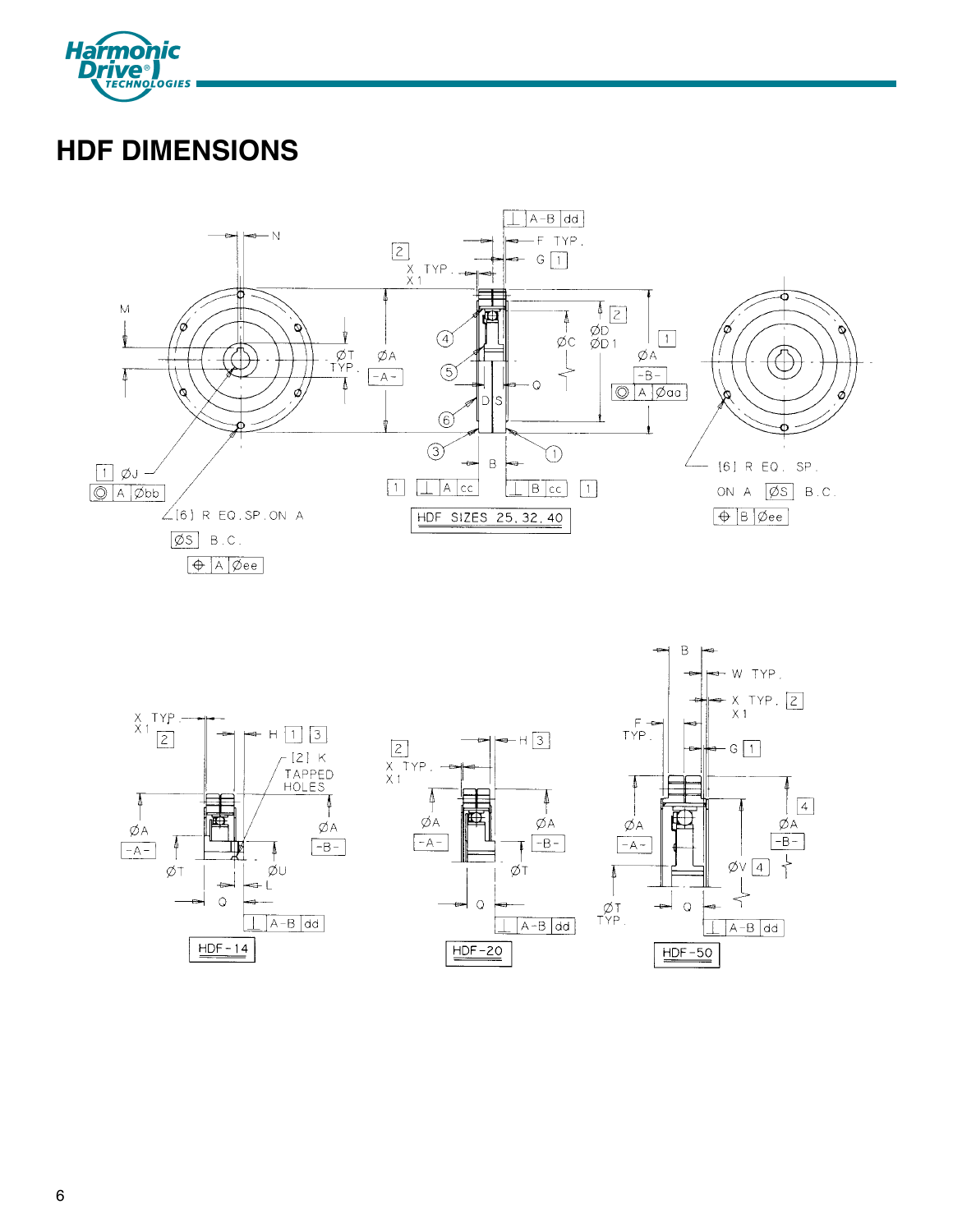

# **HDF DIMENSIONS**



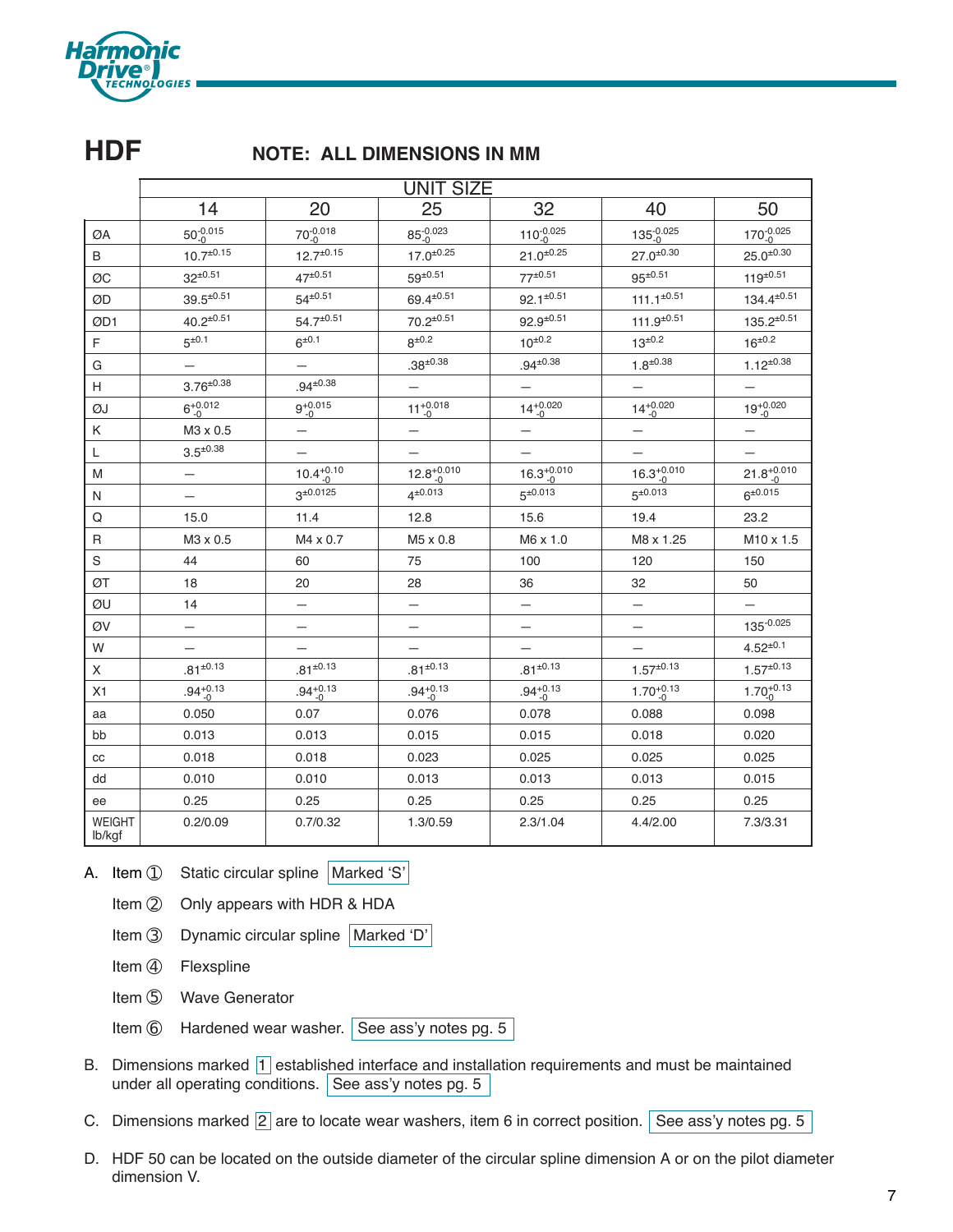

# **HDF NOTE: ALL DIMENSIONS IN MM**

|                         | <b>UNIT SIZE</b>   |                     |                      |                      |                      |                       |  |  |  |  |
|-------------------------|--------------------|---------------------|----------------------|----------------------|----------------------|-----------------------|--|--|--|--|
|                         | 14                 | 20                  | 25                   | 32                   | 40                   | 50                    |  |  |  |  |
| ØA                      | $50^{0.015}_{0}$   | $70^{0.018}_{-0}$   | $85^{0.023}_{0}$     | $110^{0.025}_{0}$    | $135^{0.025}_{0}$    | 170-0.025             |  |  |  |  |
| B                       | $10.7^{\pm 0.15}$  | $12.7^{\pm 0.15}$   | $17.0^{\pm 0.25}$    | $21.0^{+0.25}$       | $27.0^{\pm 0.30}$    | $25.0^{\pm 0.30}$     |  |  |  |  |
| ØC                      | $32^{\pm 0.51}$    | $47^{\pm 0.51}$     | $59^{\pm 0.51}$      | $77^{\pm 0.51}$      | $95^{\pm 0.51}$      | $119^{\pm 0.51}$      |  |  |  |  |
| ØD                      | $39.5^{\pm 0.51}$  | $54^{\pm 0.51}$     | $69.4^{\pm0.51}$     | $92.1^{\pm 0.51}$    | $111.1^{\pm 0.51}$   | $134.4^{\pm 0.51}$    |  |  |  |  |
| ØD1                     | $40.2^{\pm 0.51}$  | $54.7^{\pm0.51}$    | $70.2^{\pm 0.51}$    | $92.9^{\pm 0.51}$    | $111.9^{\pm 0.51}$   | $135.2^{\pm 0.51}$    |  |  |  |  |
| F                       | $5^{\pm 0.1}$      | $6^{\pm 0.1}$       | $8^{\pm0.2}$         | $10^{\pm 0.2}$       | $13^{\pm 0.2}$       | $16^{+0.2}$           |  |  |  |  |
| G                       |                    | —                   | $.38^{\pm0.38}$      | $.94^{\pm0.38}$      | $1.8^{\pm 0.38}$     | $1.12^{\pm 0.38}$     |  |  |  |  |
| Н                       | $3.76^{\pm0.38}$   | $.94^{\pm0.38}$     |                      |                      |                      |                       |  |  |  |  |
| ØJ                      | $6^{+0.012}_{-0}$  | $9^{+0.015}_{-0}$   | $11^{+0.018}_{-0}$   | $14^{+0.020}_{-0}$   | $14^{+0.020}_{-0}$   | $19^{+0.020}_{-0}$    |  |  |  |  |
| Κ                       | M3 x 0.5           | —                   |                      | —                    | $\qquad \qquad -$    | —                     |  |  |  |  |
| L                       | $3.5^{\pm 0.38}$   | —                   |                      |                      |                      |                       |  |  |  |  |
| M                       | —                  | $10.4^{+0.10}_{-0}$ | $12.8^{+0.010}_{-0}$ | $16.3^{+0.010}_{-0}$ | $16.3^{+0.010}_{-0}$ | $21.8^{+0.010}_{-0}$  |  |  |  |  |
| N                       |                    | $3^{\pm 0.0125}$    | $4^{\pm 0.013}$      | $5^{\pm 0.013}$      | $5^{\pm 0.013}$      | $6^{\pm 0.015}$       |  |  |  |  |
| Q                       | 15.0               | 11.4                | 12.8                 | 15.6                 | 19.4                 | 23.2                  |  |  |  |  |
| R                       | M3 x 0.5           | M4 x 0.7            | M5 x 0.8             | M6 x 1.0             | M8 x 1.25            | M <sub>10</sub> x 1.5 |  |  |  |  |
| $\rm S$                 | 44                 | 60                  | 75                   | 100                  | 120                  | 150                   |  |  |  |  |
| ØT                      | 18                 | 20                  | 28                   | 36                   | 32                   | 50                    |  |  |  |  |
| ØU                      | 14                 |                     |                      |                      |                      |                       |  |  |  |  |
| ØV                      |                    | —                   |                      | —                    | —                    | $135 - 0.025$         |  |  |  |  |
| W                       |                    |                     |                      |                      |                      | $4.52^{\pm0.1}$       |  |  |  |  |
| X                       | $.81^{\pm0.13}$    | $.81^{\pm0.13}$     | $.81^{\pm0.13}$      | $.81^{\pm0.13}$      | $1.57^{\pm0.13}$     | $1.57^{\pm0.13}$      |  |  |  |  |
| X1                      | $.94^{+0.13}_{-0}$ | $.94^{+0.13}_{-0}$  | $.94^{+0.13}_{-0}$   | $.94^{+0.13}_{-0}$   | $1.70^{+0.13}_{-0}$  | $1.70^{+0.13}_{0}$    |  |  |  |  |
| aa                      | 0.050              | 0.07                | 0.076                | 0.078                | 0.088                | 0.098                 |  |  |  |  |
| bb                      | 0.013              | 0.013               | 0.015                | 0.015                | 0.018                | 0.020                 |  |  |  |  |
| $_{\rm CC}$             | 0.018              | 0.018               | 0.023                | 0.025                | 0.025                | 0.025                 |  |  |  |  |
| dd                      | 0.010              | 0.010               | 0.013                | 0.013                | 0.013                | 0.015                 |  |  |  |  |
| ee                      | 0.25               | 0.25                | 0.25                 | 0.25                 | 0.25                 | 0.25                  |  |  |  |  |
| <b>WEIGHT</b><br>lb/kgf | 0.2/0.09           | 0.7/0.32            | 1.3/0.59             | 2.3/1.04             | 4.4/2.00             | 7.3/3.31              |  |  |  |  |

A. Item ① Static circular spline | Marked 'S'

- Item ② Only appears with HDR & HDA
- Item ➂ Dynamic circular spline Marked 'D'
- Item 4 Flexspline
- Item 5 Wave Generator
- Item  $\circled{6}$  Hardened wear washer. See ass'y notes pg. 5
- B. Dimensions marked  $\boxed{1}$  established interface and installation requirements and must be maintained under all operating conditions. See ass'y notes pg. 5
- C. Dimensions marked  $\boxed{2}$  are to locate wear washers, item 6 in correct position. See ass'y notes pg. 5
- D. HDF 50 can be located on the outside diameter of the circular spline dimension A or on the pilot diameter dimension V.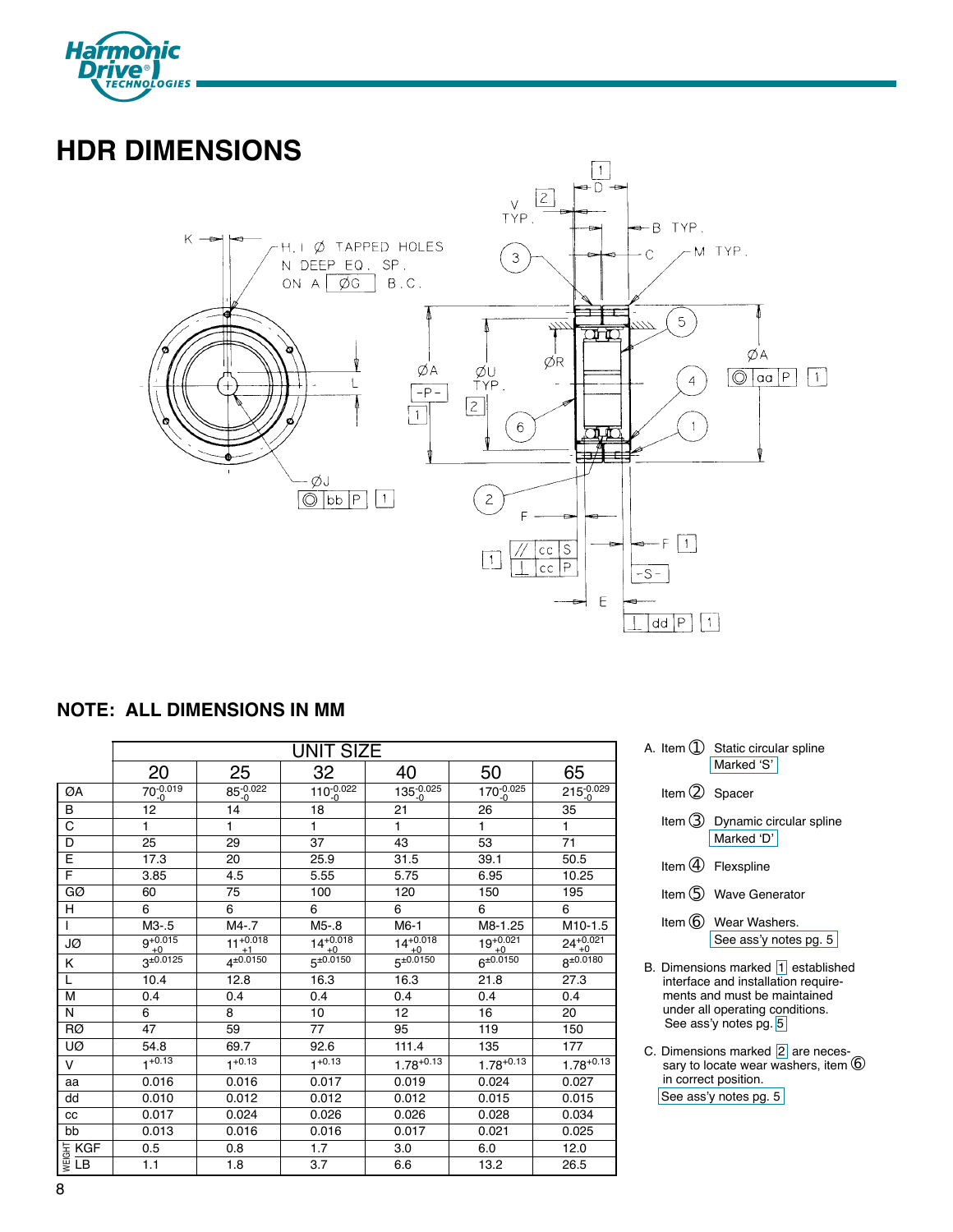

# **HDR DIMENSIONS**



# **NOTE: ALL DIMENSIONS IN MM**

|                                                              |                   |                       | <b>UNIT SIZE</b>   |                    |                    |                    |
|--------------------------------------------------------------|-------------------|-----------------------|--------------------|--------------------|--------------------|--------------------|
|                                                              | 20                | 25                    | 32                 | 40                 | 50                 | 65                 |
| ØA                                                           | $70^{0.019}_{0}$  | $85^{0.022}_{0}$      | $110^{0.022}_{-0}$ | $135^{0.025}_{0}$  | $170^{0.025}_{0}$  | $215^{0.029}_{0}$  |
| B                                                            | 12 <sup>2</sup>   | 14                    | 18                 | 21                 | $\overline{26}$    | 35                 |
| $\overline{\mathrm{c}}$                                      | 1                 | 1                     | 1                  | 1                  | 1                  | 1                  |
| D                                                            | 25                | 29                    | 37                 | 43                 | 53                 | 71                 |
| E                                                            | 17.3              | 20                    | 25.9               | 31.5               | 39.1               | 50.5               |
| F                                                            | 3.85              | 4.5                   | 5.55               | 5.75               | 6.95               | 10.25              |
| GØ                                                           | 60                | 75                    | 100                | 120                | 150                | 195                |
| H.                                                           | 6                 | $\overline{6}$        | 6                  | 6                  | 6                  | 6                  |
|                                                              | M3.5              | $M4 - 7$              | $M5-8$             | $M6-1$             | M8-1.25            | M10-1.5            |
| JØ                                                           | $9^{+0.015}_{+0}$ | $11^{+0.018}$<br>$+1$ | $14^{+0.018}_{+0}$ | $14^{+0.018}_{+0}$ | $19^{+0.021}_{+0}$ | $24^{+0.021}_{+0}$ |
| K                                                            | $3^{\pm 0.0125}$  | $4^{\pm 0.0150}$      | $5^{\pm 0.0150}$   | $5^{\pm 0.0150}$   | $6^{\pm 0.0150}$   | $8^{\pm 0.0180}$   |
| L                                                            | 10.4              | 12.8                  | 16.3               | 16.3               | 21.8               | 27.3               |
| M                                                            | 0.4               | 0.4                   | 0.4                | 0.4                | 0.4                | 0.4                |
| N                                                            | 6                 | 8                     | 10                 | 12                 | 16                 | 20                 |
| RØ                                                           | 47                | 59                    | 77                 | 95                 | 119                | 150                |
| UØ                                                           | 54.8              | 69.7                  | 92.6               | 111.4              | 135                | 177                |
| v                                                            | $1+0.13$          | $1 + 0.13$            | $1 + 0.13$         | $1.78^{+0.13}$     | $1.78^{+0.13}$     | $1.78^{+0.13}$     |
| aa                                                           | 0.016             | 0.016                 | 0.017              | 0.019              | 0.024              | 0.027              |
| dd                                                           | 0.010             | 0.012                 | 0.012              | 0.012              | 0.015              | 0.015              |
| CC                                                           | 0.017             | 0.024                 | 0.026              | 0.026              | 0.028              | 0.034              |
| bb                                                           | 0.013             | 0.016                 | 0.016              | 0.017              | 0.021              | 0.025              |
| $\frac{1}{\frac{10}{5}} \frac{1}{1} \frac{1}{1} \frac{1}{1}$ | 0.5               | 0.8                   | 1.7                | 3.0                | 6.0                | 12.0               |
|                                                              | 1.1               | 1.8                   | 3.7                | 6.6                | 13.2               | 26.5               |

| A. Item $\bigcirc$ Static circular spline |  |
|-------------------------------------------|--|
| Marked 'S'                                |  |

- Item 2 Spacer
- Item ➂ Dynamic circular spline Marked 'D'
- Item 4 Flexspline
- Item **6** Wave Generator
- Item  $6$  Wear Washers. See ass'y notes pg. 5
- B. Dimensions marked 1 established interface and installation requirements and must be maintained under all operating conditions. See ass'y notes pg. 5
- C. Dimensions marked  $\boxed{2}$  are necessary to locate wear washers, item  $\textcircled{\small{b}}$ in correct position. See ass'y notes pg. 5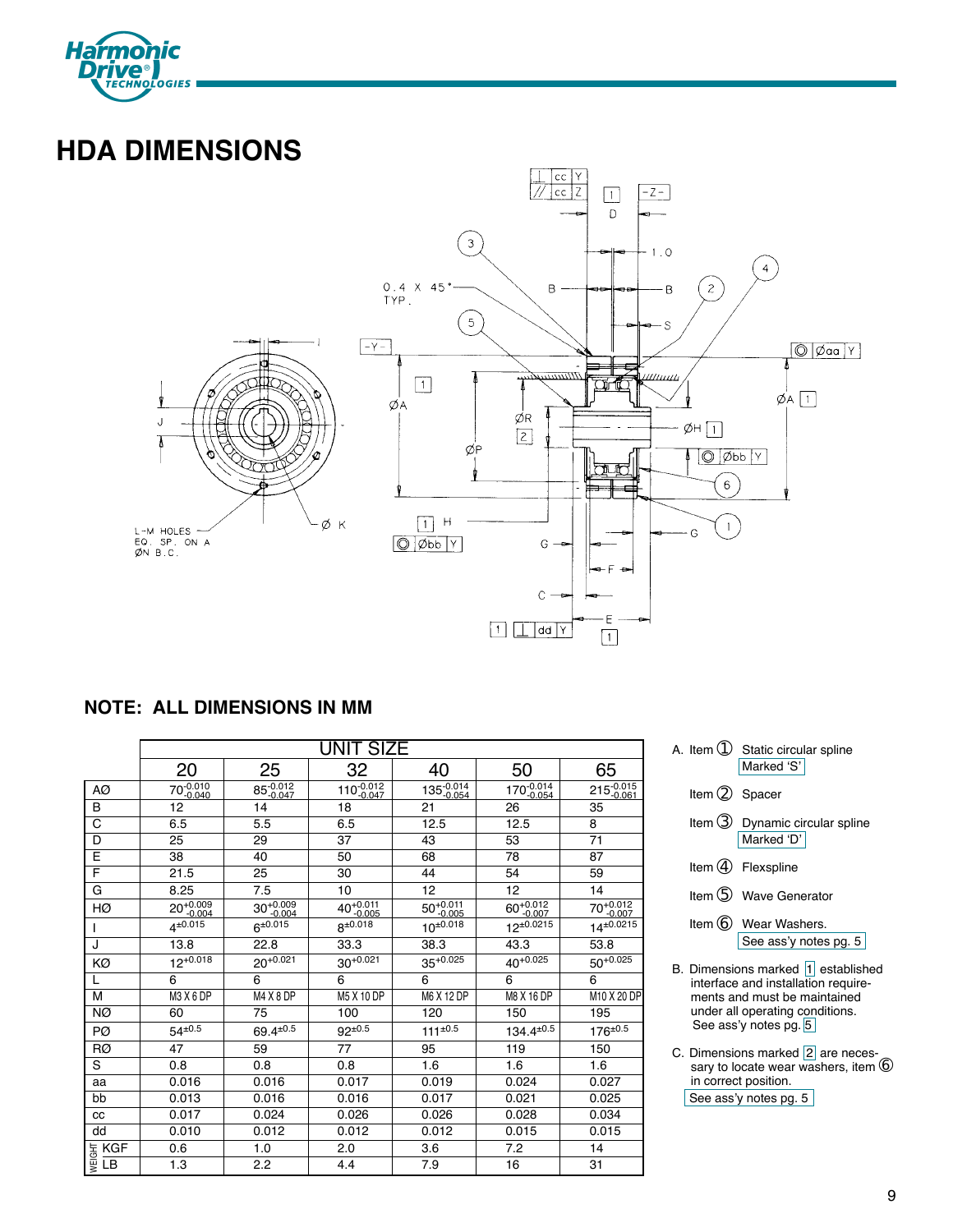

# **HDA DIMENSIONS**



# **NOTE: ALL DIMENSIONS IN MM**

|                                       |                                  |                                  | UNIT SIZE                  |                        |                           |                   |
|---------------------------------------|----------------------------------|----------------------------------|----------------------------|------------------------|---------------------------|-------------------|
|                                       | 20                               | 25                               | 32                         | 40                     | 50                        | 65                |
| AØ                                    | $70 - 0.010$<br>$-0.040$         | 85-0.012                         | $110^{-0.012}$<br>$-0.047$ | 135-0.014              | $170 - 0.014$<br>$-0.054$ | 215-0.015         |
| B                                     | 12                               | 14                               | 18                         | 21                     | 26                        | 35                |
| C                                     | 6.5                              | 5.5                              | 6.5                        | 12.5                   | 12.5                      | 8                 |
| D                                     | 25                               | 29                               | 37                         | 43                     | 53                        | 71                |
| E                                     | 38                               | 40                               | 50                         | 68                     | 78                        | 87                |
| F                                     | 21.5                             | 25                               | 30                         | 44                     | 54                        | 59                |
| G                                     | 8.25                             | 7.5                              | 10                         | 12                     | 12                        | 14                |
| HØ                                    | 20+0.009                         | $30^{+0.009}_{-0.004}$           | 40+0.011                   | $50^{+0.011}_{-0.005}$ | $60^{+0.012}$<br>$-0.007$ | 70+0.012          |
|                                       | $4^{\pm 0.015}$                  | $6^{\pm 0.015}$                  | $8^{\pm 0.018}$            | $10^{\pm 0.018}$       | $12^{\pm 0.0215}$         | $14^{\pm 0.0215}$ |
| J                                     | 13.8                             | 22.8                             | 33.3                       | 38.3                   | 43.3                      | 53.8              |
| ΚØ                                    | $12^{+0.018}$                    | $20^{+0.021}$                    | $30^{+0.021}$              | $35^{+0.025}$          | $40^{+0.025}$             | $50^{+0.025}$     |
|                                       | 6                                | 6                                | 6                          | 6                      | 6                         | 6                 |
| M                                     | M <sub>3</sub> X <sub>6</sub> DP | M <sub>4</sub> X <sub>8</sub> DP | M5 X 10 DP                 | M6 X 12 DP             | M8 X 16 DP                | M10 X 20 DP       |
| NØ                                    | 60                               | 75                               | 100                        | 120                    | 150                       | 195               |
| PØ                                    | $54^{\pm0.5}$                    | $69.4^{\pm 0.5}$                 | $92^{\pm 0.5}$             | $111^{\pm 0.5}$        | $134.4^{\pm0.5}$          | $176^{\pm0.5}$    |
| RØ                                    | 47                               | 59                               | 77                         | 95                     | 119                       | 150               |
| S                                     | 0.8                              | 0.8                              | 0.8                        | 1.6                    | 1.6                       | 1.6               |
| aa                                    | 0.016                            | 0.016                            | 0.017                      | 0.019                  | 0.024                     | 0.027             |
| bb                                    | 0.013                            | 0.016                            | 0.016                      | 0.017                  | 0.021                     | 0.025             |
| CC                                    | 0.017                            | 0.024                            | 0.026                      | 0.026                  | 0.028                     | 0.034             |
| dd                                    | 0.010                            | 0.012                            | 0.012                      | 0.012                  | 0.015                     | 0.015             |
|                                       | 0.6                              | 1.0                              | 2.0                        | 3.6                    | 7.2                       | 14                |
| $\frac{1}{\frac{36}{8}} \frac{1}{18}$ | 1.3                              | 2.2                              | 4.4                        | 7.9                    | 16                        | 31                |

|  | A. Item $\bigcirc$ Static circular spline |  |
|--|-------------------------------------------|--|
|  | Marked 'S'                                |  |

- Item 2 Spacer
- Item ➂ Dynamic circular spline Marked 'D'
- Item 4 Flexspline
- Item 5 Wave Generator
- Item  $6$  Wear Washers. See ass'y notes pg. 5
- B. Dimensions marked  $\overline{1}$  established interface and installation requirements and must be maintained under all operating conditions. See ass'y notes pg. 5
- C. Dimensions marked 2 are necessed contained by an extending our sary to locate wear washers, item in correct position. See ass'y notes pg. 5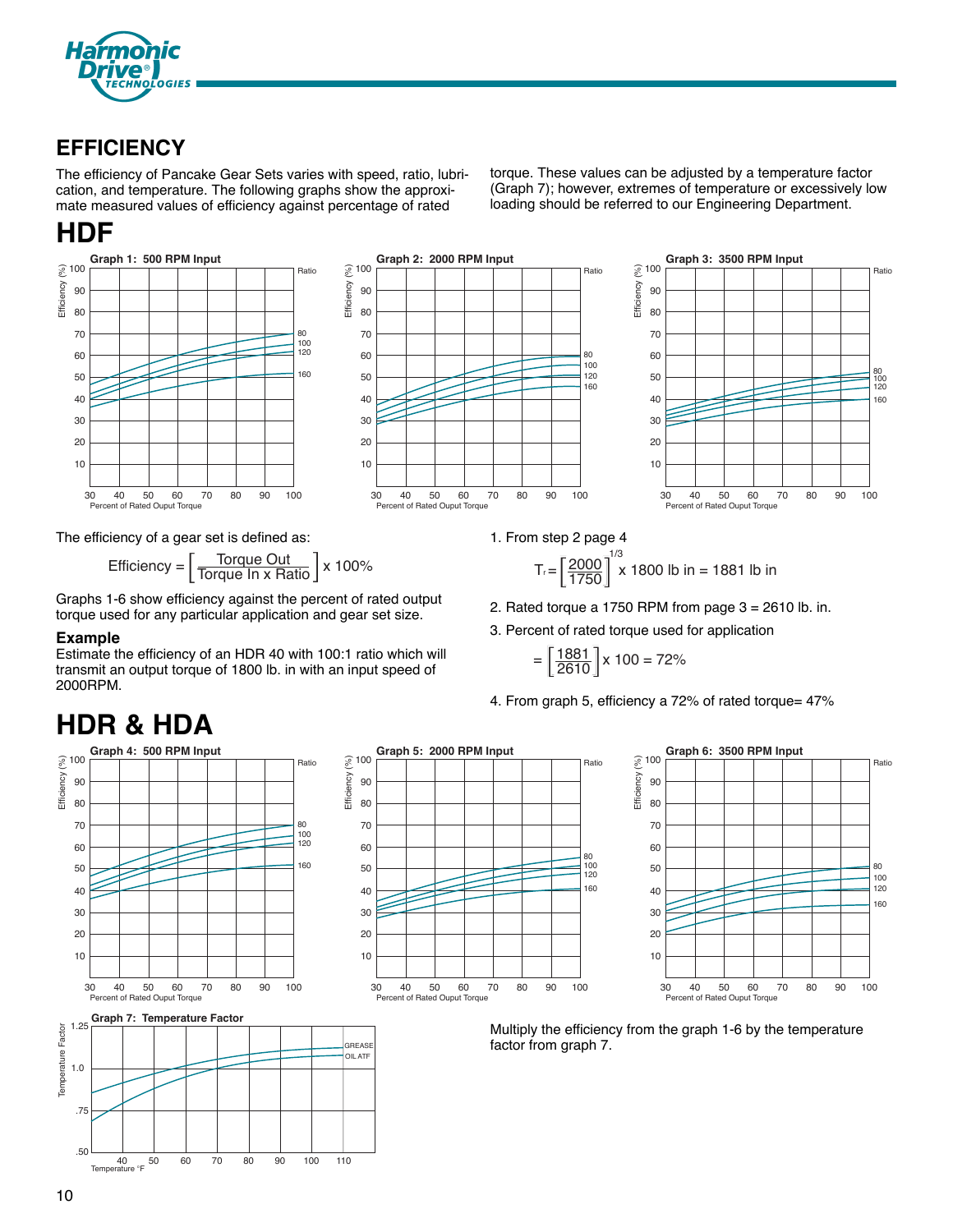

# **EFFICIENCY**

The efficiency of Pancake Gear Sets varies with speed, ratio, lubrication, and temperature. The following graphs show the approximate measured values of efficiency against percentage of rated

# **HDF**



The efficiency of a gear set is defined as:

$$
Efficiency = \left[\frac{\text{Torque Out}}{\text{Torque In x Ratio}}\right] \times 100\%
$$
 
$$
T_r = \left[\frac{2000}{1750}\right]^2
$$

Graphs 1-6 show efficiency against the percent of rated output torque used for any particular application and gear set size.

# **Example**

Estimate the efficiency of an HDR 40 with 100:1 ratio which will transmit an output torque of 1800 lb. in with an input speed of 2000RPM.

# **HDR & HDA**



.50 40 50 60 70 80 90 100 110



**GREAS** 



Multiply the efficiency from the graph 1-6 by the temperature factor from graph 7.

1. From step 2 page 4 1/3

$$
T_r = \left[\frac{2000}{1750}\right]^{1/3} \times 1800 \text{ lb in} = 1881 \text{ lb in}
$$

2. Rated torque a 1750 RPM from page  $3 = 2610$  lb. in.

torque. These values can be adjusted by a temperature factor (Graph 7); however, extremes of temperature or excessively low loading should be referred to our Engineering Department.

3. Percent of rated torque used for application

$$
= \left[\frac{1881}{2610}\right] \times 100 = 72\%
$$

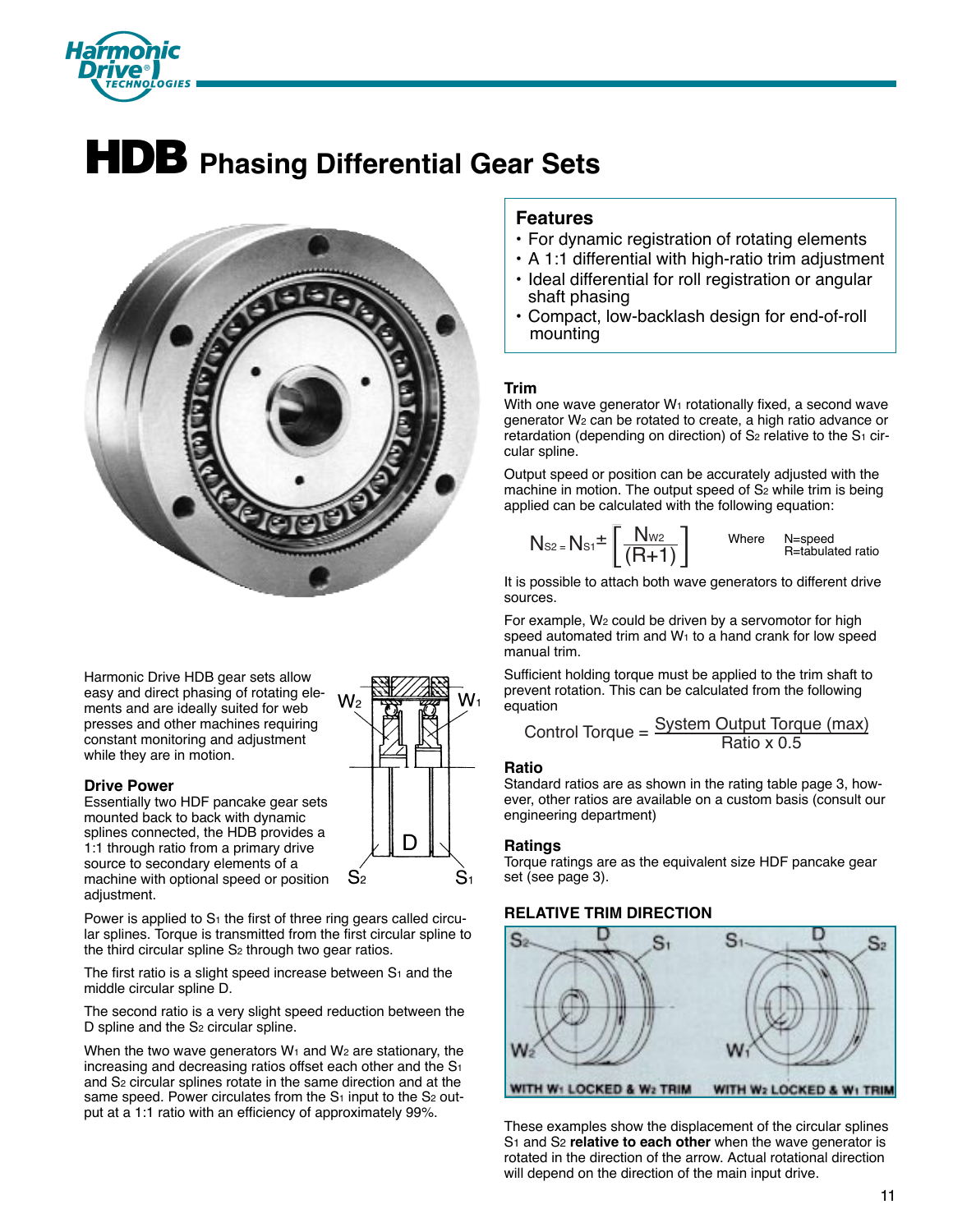

# **HDB Phasing Differential Gear Sets**



# **Features**

- For dynamic registration of rotating elements
- A 1:1 differential with high-ratio trim adjustment
- Ideal differential for roll registration or angular shaft phasing
- Compact, low-backlash design for end-of-roll mounting

## **Trim**

With one wave generator  $W_1$  rotationally fixed, a second wave generator W2 can be rotated to create, a high ratio advance or retardation (depending on direction) of  $S<sub>2</sub>$  relative to the  $S<sub>1</sub>$  circular spline.

Output speed or position can be accurately adjusted with the machine in motion. The output speed of S<sub>2</sub> while trim is being applied can be calculated with the following equation:

$$
N_{s2} = N_{s1} \pm \left[\frac{N_{w2}}{(R+1)}\right]
$$
 Where N=speed  
Retabulated ratio

It is possible to attach both wave generators to different drive sources.

For example, W2 could be driven by a servomotor for high speed automated trim and  $W_1$  to a hand crank for low speed manual trim.

Sufficient holding torque must be applied to the trim shaft to prevent rotation. This can be calculated from the following equation

Control Torque = 
$$
\frac{System Output Torque (max)}{Ratio x 0.5}
$$

### **Ratio**

W۱

 $S_1$ 

D

 $S<sub>2</sub>$ 

Standard ratios are as shown in the rating table page 3, however, other ratios are available on a custom basis (consult our engineering department)

### **Ratings**

Torque ratings are as the equivalent size HDF pancake gear set (see page 3).

# **RELATIVE TRIM DIRECTION**



These examples show the displacement of the circular splines S1 and S2 **relative to each other** when the wave generator is rotated in the direction of the arrow. Actual rotational direction will depend on the direction of the main input drive.

Harmonic Drive HDB gear sets allow easy and direct phasing of rotating elements and are ideally suited for web presses and other machines requiring constant monitoring and adjustment while they are in motion.

### **Drive Power**

Essentially two HDF pancake gear sets mounted back to back with dynamic splines connected, the HDB provides a 1:1 through ratio from a primary drive source to secondary elements of a machine with optional speed or position adjustment.

Power is applied to  $S_1$  the first of three ring gears called circular splines. Torque is transmitted from the first circular spline to the third circular spline S<sub>2</sub> through two gear ratios.

The first ratio is a slight speed increase between  $S_1$  and the middle circular spline D.

The second ratio is a very slight speed reduction between the D spline and the S<sub>2</sub> circular spline.

When the two wave generators  $W_1$  and  $W_2$  are stationary, the increasing and decreasing ratios offset each other and the S<sub>1</sub> and S2 circular splines rotate in the same direction and at the same speed. Power circulates from the  $S_1$  input to the  $S_2$  output at a 1:1 ratio with an efficiency of approximately 99%.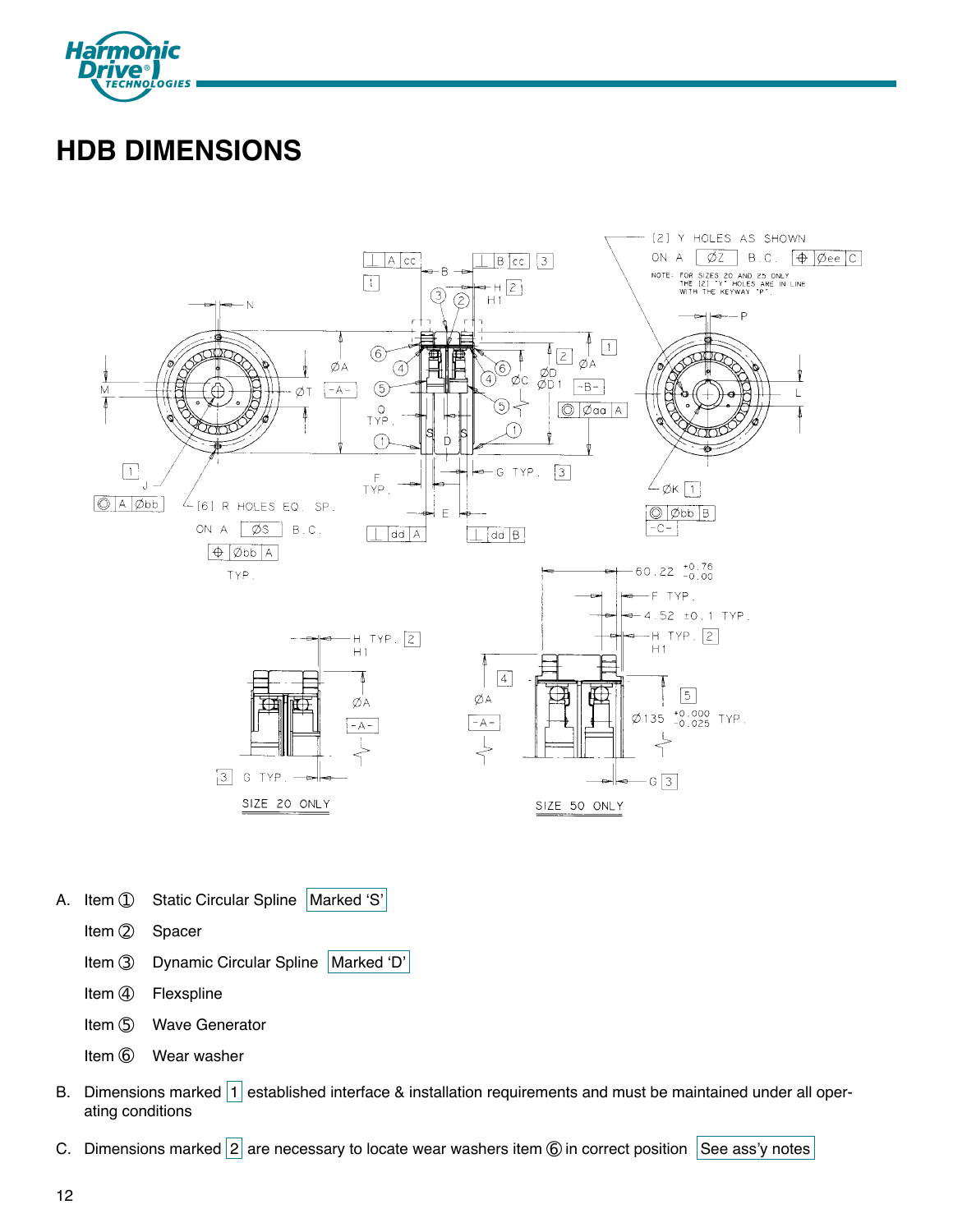

# **HDB DIMENSIONS**



- A. Item ① Static Circular Spline Marked 'S'
	- Item 2 Spacer
	- Item 3 Dynamic Circular Spline | Marked 'D'
	- Item 4 Flexspline
	- Item 5 Wave Generator
	- Item 6 Wear washer
- B. Dimensions marked 1 established interface & installation requirements and must be maintained under all operating conditions
- C. Dimensions marked  $|2|$  are necessary to locate wear washers item  $\circledcirc$  in correct position See ass'y notes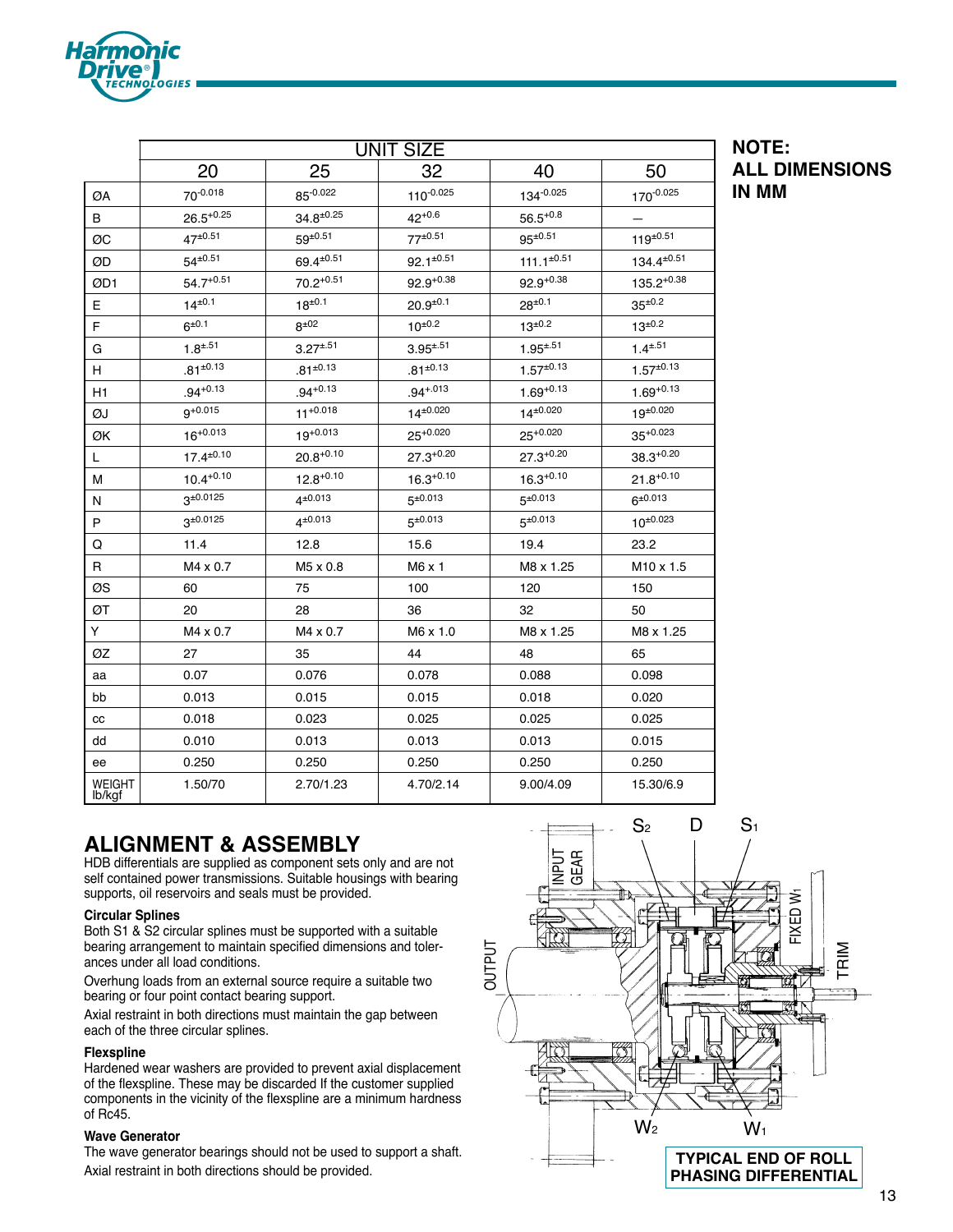|                         |                  |                  | <b>UNIT SIZE</b>  |                    |                    |
|-------------------------|------------------|------------------|-------------------|--------------------|--------------------|
|                         | 20               | 25               | 32                | 40                 | 50                 |
| ØA                      | 70-0.018         | 85-0.022         | $110^{-0.025}$    | 134-0.025          | 170-0.025          |
| B                       | $26.5^{+0.25}$   | $34.8^{\pm0.25}$ | $42^{+0.6}$       | $56.5^{+0.8}$      |                    |
| ØC                      | $47^{\pm 0.51}$  | $59^{\pm 0.51}$  | $77^{\pm 0.51}$   | $95^{\pm 0.51}$    | $119^{\pm 0.51}$   |
| ØD                      | $54^{\pm0.51}$   | 69.4±0.51        | $92.1^{\pm 0.51}$ | $111.1^{\pm 0.51}$ | $134.4^{\pm 0.51}$ |
| ØD1                     | $54.7^{+0.51}$   | $70.2^{+0.51}$   | $92.9^{+0.38}$    | $92.9^{+0.38}$     | $135.2^{+0.38}$    |
| Е                       | $14^{\pm0.1}$    | $18^{\pm0.1}$    | $20.9^{\pm0.1}$   | $28^{\pm 0.1}$     | $35^{\pm 0.2}$     |
| F                       | $6^{\pm 0.1}$    | $8^{\pm 02}$     | $10^{\pm 0.2}$    | $13^{\pm 0.2}$     | $13^{\pm 0.2}$     |
| G                       | $1.8^{\pm.51}$   | $3.27^{\pm.51}$  | $3.95^{\pm.51}$   | $1.95^{\pm.51}$    | $1.4^{\pm.51}$     |
| Н                       | $.81^{+0.13}$    | $.81^{\pm0.13}$  | $.81^{\pm0.13}$   | $1.57^{\pm0.13}$   | $1.57^{\pm0.13}$   |
| H1                      | $.94^{+0.13}$    | $.94^{+0.13}$    | $.94 + .013$      | $1.69^{+0.13}$     | $1.69^{+0.13}$     |
| ØJ                      | $9^{+0.015}$     | $11^{+0.018}$    | $14^{\pm0.020}$   | $14^{\pm0.020}$    | $19^{\pm 0.020}$   |
| ØK                      | $16^{+0.013}$    | $19^{+0.013}$    | $25^{+0.020}$     | $25^{+0.020}$      | $35^{+0.023}$      |
| L                       | $17.4^{\pm0.10}$ | $20.8^{+0.10}$   | $27.3^{+0.20}$    | $27.3^{+0.20}$     | $38.3^{+0.20}$     |
| М                       | $10.4^{+0.10}$   | $12.8^{+0.10}$   | $16.3^{+0.10}$    | $16.3^{+0.10}$     | $21.8^{+0.10}$     |
| N                       | $3^{\pm 0.0125}$ | $4^{\pm 0.013}$  | $5^{\pm 0.013}$   | $5^{\pm 0.013}$    | $6^{\pm 0.013}$    |
| P                       | $3^{\pm 0.0125}$ | $4^{\pm 0.013}$  | $5^{\pm 0.013}$   | $5^{\pm 0.013}$    | $10^{\pm 0.023}$   |
| Q                       | 11.4             | 12.8             | 15.6              | 19.4               | 23.2               |
| R                       | M4 x 0.7         | M5 x 0.8         | $M6 \times 1$     | M8 x 1.25          | M10 x 1.5          |
| ØS                      | 60               | 75               | 100               | 120                | 150                |
| ØТ                      | 20               | 28               | 36                | 32                 | 50                 |
| Y                       | M4 x 0.7         | M4 x 0.7         | M6 x 1.0          | M8 x 1.25          | M8 x 1.25          |
| ØZ                      | 27               | 35               | 44                | 48                 | 65                 |
| aa                      | 0.07             | 0.076            | 0.078             | 0.088              | 0.098              |
| bb                      | 0.013            | 0.015            | 0.015             | 0.018              | 0.020              |
| CC                      | 0.018            | 0.023            | 0.025             | 0.025              | 0.025              |
| dd                      | 0.010            | 0.013            | 0.013             | 0.013              | 0.015              |
| ee                      | 0.250            | 0.250            | 0.250             | 0.250              | 0.250              |
| <b>WEIGHT</b><br>lb/kgf | 1.50/70          | 2.70/1.23        | 4.70/2.14         | 9.00/4.09          | 15.30/6.9          |

# **NOTE: ALL DIMENSIONS IN MM**

# **ALIGNMENT & ASSEMBLY**

HDB differentials are supplied as component sets only and are not self contained power transmissions. Suitable housings with bearing supports, oil reservoirs and seals must be provided.

## **Circular Splines**

**TECHNOLOGIES** 

Both S1 & S2 circular splines must be supported with a suitable bearing arrangement to maintain specified dimensions and tolerances under all load conditions.

Overhung loads from an external source require a suitable two bearing or four point contact bearing support.

Axial restraint in both directions must maintain the gap between each of the three circular splines.

## **Flexspline**

Hardened wear washers are provided to prevent axial displacement of the flexspline. These may be discarded If the customer supplied components in the vicinity of the flexspline are a minimum hardness of Rc45.

### **Wave Generator**

The wave generator bearings should not be used to support a shaft. Axial restraint in both directions should be provided.